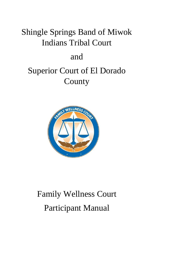# Shingle Springs Band of Miwok Indians Tribal Court

# and

# Superior Court of El Dorado County



# Family Wellness Court Participant Manual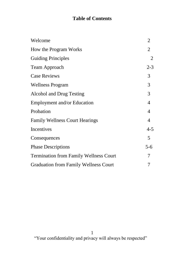# **Table of Contents**

| Welcome                                       | $\overline{2}$ |
|-----------------------------------------------|----------------|
| How the Program Works                         | $\overline{2}$ |
| <b>Guiding Principles</b>                     | $\overline{2}$ |
| Team Approach                                 | $2 - 3$        |
| <b>Case Reviews</b>                           | 3              |
| <b>Wellness Program</b>                       | 3              |
| Alcohol and Drug Testing                      | 3              |
| Employment and/or Education                   | 4              |
| Probation                                     | 4              |
| <b>Family Wellness Court Hearings</b>         | 4              |
| Incentives                                    | $4 - 5$        |
| Consequences                                  | 5              |
| <b>Phase Descriptions</b>                     | $5-6$          |
| <b>Termination from Family Wellness Court</b> | 7              |
| <b>Graduation from Family Wellness Court</b>  |                |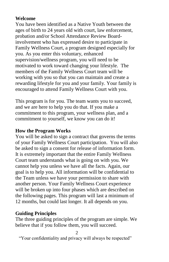### **Welcome**

You have been identified as a Native Youth between the ages of birth to 24 years old with court, law enforcement, probation and/or School Attendance Review Boardinvolvement who has expressed desire to participate in Family Wellness Court, a program designed especially for you. As you enter this voluntary, enhanced supervision/wellness program, you will need to be motivated to work toward changing your lifestyle. The members of the Family Wellness Court team will be working with you so that you can maintain and create a rewarding lifestyle for you and your family. Your family is encouraged to attend Family Wellness Court with you.

This program is for you. The team wants you to succeed, and we are here to help you do that. If you make a commitment to this program, your wellness plan, and a commitment to yourself, we know you can do it!

## **How the Program Works**

You will be asked to sign a contract that governs the terms of your Family Wellness Court participation. You will also be asked to sign a consent for release of information form. It is extremely important that the entire Family Wellness Court team understands what is going on with you. We cannot help you unless we have all the facts. Again, our goal is to help you. All information will be confidential to the Team unless we have your permission to share with another person. Your Family Wellness Court experience will be broken up into four phases which are described on the following pages. This program will last a minimum of 12 months, but could last longer. It all depends on you.

# **Guiding Principles**

The three guiding principles of the program are simple. We believe that if you follow them, you will succeed.

2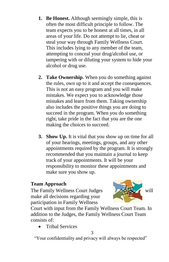- **1. Be Honest.** Although seemingly simple, this is often the most difficult principle to follow. The team expects you to be honest at all times, in all areas of your life. Do not attempt to lie, cheat or steal your way through Family Wellness Court. This includes lying to any member of the team, attempting to conceal your drug/alcohol use, or tampering with or diluting your system to hide your alcohol or drug use.
- **2. Take Ownership**. When you do something against the rules, own up to it and accept the consequences. This is not an easy program and you will make mistakes. We expect you to acknowledge those mistakes and learn from them. Taking ownership also includes the positive things you are doing to succeed in the program. When you do something right, take pride in the fact that you are the one making the choices to succeed.
- **3. Show Up.** It is vital that you show up on time for all of your hearings, meetings, groups, and any other appointments required by the program. It is strongly recommended that you maintain a journal to keep track of your appointments. It will be your responsibility to monitor these appointments and make sure you show up.

#### **Team Approach**

The Family Wellness Court Judges Will make all decisions regarding your participation in Family Wellness



Court with input from the Family Wellness Court Team. In addition to the Judges, the Family Wellness Court Team consists of:

• Tribal Services

3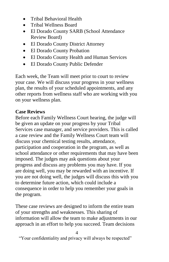- Tribal Behavioral Health
- Tribal Wellness Board
- El Dorado County SARB (School Attendance Review Board)
- El Dorado County District Attorney
- El Dorado County Probation
- El Dorado County Health and Human Services
- El Dorado County Public Defender

Each week, the Team will meet prior to court to review your case. We will discuss your progress in your wellness plan, the results of your scheduled appointments, and any other reports from wellness staff who are working with you on your wellness plan.

# **Case Reviews**

Before each Family Wellness Court hearing, the judge will be given an update on your progress by your Tribal Services case manager, and service providers. This is called a case review and the Family Wellness Court team will discuss your chemical testing results, attendance, participation and cooperation in the program, as well as school attendance or other requirements that may have been imposed. The judges may ask questions about your progress and discuss any problems you may have. If you are doing well, you may be rewarded with an incentive. If you are not doing well, the judges will discuss this with you to determine future action, which could include a consequence in order to help you remember your goals in the program.

These case reviews are designed to inform the entire team of your strengths and weaknesses. This sharing of information will allow the team to make adjustments in our approach in an effort to help you succeed. Team decisions

4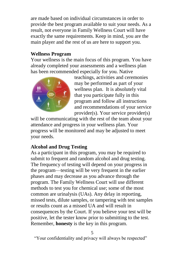are made based on individual circumstances in order to provide the best program available to suit your needs. As a result, not everyone in Family Wellness Court will have exactly the same requirements. Keep in mind, you are the main player and the rest of us are here to support you.

#### **Wellness Program**

Your wellness is the main focus of this program. You have already completed your assessments and a wellness plan has been recommended especially for you. Native



teachings, activities and ceremonies may be performed as part of your wellness plan. It is absolutely vital that you participate fully in this program and follow all instructions and recommendations of your service provider(s). Your service provider(s)

will be communicating with the rest of the team about your attendance and progress in your wellness plan. Your progress will be monitored and may be adjusted to meet your needs.

# **Alcohol and Drug Testing**

As a participant in this program, you may be required to submit to frequent and random alcohol and drug testing. The frequency of testing will depend on your progress in the program—testing will be very frequent in the earlier phases and may decrease as you advance through the program. The Family Wellness Court will use different methods to test you for chemical use; some of the most common are urinalysis (UAs). Any delay in reporting, missed tests, dilute samples, or tampering with test samples or results count as a missed UA and will result in consequences by the Court. If you believe your test will be positive, let the tester know prior to submitting to the test. Remember, **honesty** is the key in this program.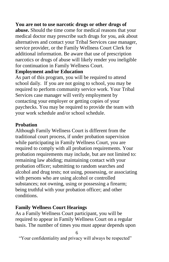#### **You are not to use narcotic drugs or other drugs of**

**abuse.** Should the time come for medical reasons that your medical doctor may prescribe such drugs for you, ask about alternatives and contact your Tribal Services case manager, service provider, or the Family Wellness Court Clerk for additional information. Be aware that use of prescription narcotics or drugs of abuse will likely render you ineligible for continuation in Family Wellness Court.

#### **Employment and/or Education**

As part of this program, you will be required to attend school daily. If you are not going to school, you may be required to perform community service work. Your Tribal Services case manager will verify employment by contacting your employer or getting copies of your paychecks. You may be required to provide the team with your work schedule and/or school schedule.

#### **Probation**

Although Family Wellness Court is different from the traditional court process, if under probation supervision while participating in Family Wellness Court, you are required to comply with all probation requirements. Your probation requirements may include, but are not limited to: remaining law abiding; maintaining contact with your probation officer; submitting to random searches and alcohol and drug tests; not using, possessing, or associating with persons who are using alcohol or controlled substances; not owning, using or possessing a firearm; being truthful with your probation officer; and other conditions.

#### **Family Wellness Court Hearings**

As a Family Wellness Court participant, you will be required to appear in Family Wellness Court on a regular basis. The number of times you must appear depends upon

6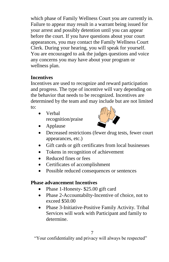which phase of Family Wellness Court you are currently in. Failure to appear may result in a warrant being issued for your arrest and possibly detention until you can appear before the court. If you have questions about your court appearances, you may contact the Family Wellness Court Clerk. During your hearing, you will speak for yourself. You are encouraged to ask the judges questions and voice any concerns you may have about your program or wellness plan.

# **Incentives**

Incentives are used to recognize and reward participation and progress. The type of incentive will vary depending on the behavior that needs to be recognized. Incentives are determined by the team and may include but are not limited to:

 Verbal recognition/praise



- Applause
- Decreased restrictions (fewer drug tests, fewer court appearances, etc.)
- Gift cards or gift certificates from local businesses
- Tokens in recognition of achievement
- Reduced fines or fees
- Certificates of accomplishment
- Possible reduced consequences or sentences

# **Phase advancement Incentives**

- Phase 1-Honesty- \$25.00 gift card
- Phase 2-Accountabilty-Incentive of choice, not to exceed \$50.00
- Phase 3-Initiative-Positive Family Activity. Tribal Services will work with Participant and family to determine.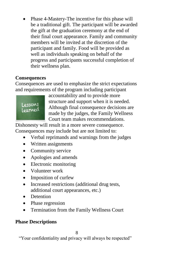• Phase 4-Mastery-The incentive for this phase will be a traditional gift. The participant will be awarded the gift at the graduation ceremony at the end of their final court appearance. Family and community members will be invited at the discretion of the participant and family. Food will be provided as well as individuals speaking on behalf of the progress and participants successful completion of their wellness plan.

# **Consequences**

Consequences are used to emphasize the strict expectations and requirements of the program including participant



accountability and to provide more structure and support when it is needed. Although final consequence decisions are made by the judges, the Family Wellness Court team makes recommendations.

Dishonesty will result in a more severe consequence. Consequences may include but are not limited to:

- Verbal reprimands and warnings from the judges
- Written assignments
- Community service
- Apologies and amends
- Electronic monitoring
- Volunteer work
- Imposition of curfew
- Increased restrictions (additional drug tests, additional court appearances, etc.)
- Detention
- Phase regression
- Termination from the Family Wellness Court

# **Phase Descriptions**

8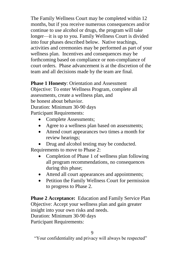The Family Wellness Court may be completed within 12 months, but if you receive numerous consequences and/or continue to use alcohol or drugs, the program will take longer—it is up to you. Family Wellness Court is divided into four phases described below. Native teachings, activities and ceremonies may be performed as part of your wellness plan. Incentives and consequences may be forthcoming based on compliance or non-compliance of court orders. Phase advancement is at the discretion of the team and all decisions made by the team are final.

# **Phase 1 Honesty**: Orientation and Assessment

Objective: To enter Wellness Program, complete all assessments, create a wellness plan, and be honest about behavior. Duration: Minimum 30-90 days Participant Requirements:

- Complete Assessments;
- Agree to a wellness plan based on assessments;
- Attend court appearances two times a month for review hearings;
- Drug and alcohol testing may be conducted. Requirements to move to Phase 2:
	- Completion of Phase 1 of wellness plan following all program recommendations, no consequences during this phase;
	- Attend all court appearances and appointments;
	- Petition the Family Wellness Court for permission to progress to Phase 2.

**Phase 2 Acceptance:** Education and Family Service Plan Objective: Accept your wellness plan and gain greater insight into your own risks and needs. Duration: Minimum 30-90 days Participant Requirements: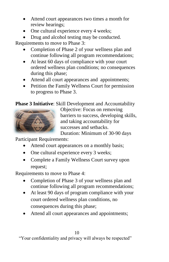- Attend court appearances two times a month for review hearings;
- One cultural experience every 4 weeks;

• Drug and alcohol testing may be conducted.

Requirements to move to Phase 3:

- Completion of Phase 2 of your wellness plan and continue following all program recommendations;
- At least 60 days of compliance with your court ordered wellness plan conditions; no consequences during this phase;
- Attend all court appearances and appointments;
- Petition the Family Wellness Court for permission to progress to Phase 3.

**Phase 3 Initiative**: Skill Development and Accountability



Objective: Focus on removing barriers to success, developing skills, and taking accountability for successes and setbacks.

Duration: Minimum of 30-90 days

Participant Requirements:

- Attend court appearances on a monthly basis;
- One cultural experience every 3 weeks;
- Complete a Family Wellness Court survey upon request;

Requirements to move to Phase 4:

- Completion of Phase 3 of your wellness plan and continue following all program recommendations;
- At least 90 days of program compliance with your court ordered wellness plan conditions, no consequences during this phase;
- Attend all court appearances and appointments;

10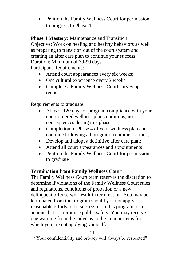• Petition the Family Wellness Court for permission to progress to Phase 4.

**Phase 4 Mastery:** Maintenance and Transition Objective: Work on healing and healthy behaviors as well as preparing to transition out of the court system and creating an after care plan to continue your success. Duration: Minimum of 30-90 days Participant Requirements:

- Attend court appearances every six weeks;
- One cultural experience every 2 weeks
- Complete a Family Wellness Court survey upon request.

Requirements to graduate:

- At least 120 days of program compliance with your court ordered wellness plan conditions, no consequences during this phase;
- Completion of Phase 4 of your wellness plan and continue following all program recommendations;
- Develop and adopt a definitive after care plan;
- Attend all court appearances and appointments
- Petition the Family Wellness Court for permission to graduate

# **Termination from Family Wellness Court**

The Family Wellness Court team reserves the discretion to determine if violations of the Family Wellness Court rules and regulations, conditions of probation or a new delinquent offense will result in termination. You may be terminated from the program should you not apply reasonable efforts to be successful in this program or for actions that compromise public safety. You may receive one warning from the judge as to the item or items for which you are not applying yourself.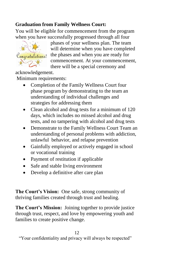# **Graduation from Family Wellness Court:**

You will be eligible for commencement from the program when you have successfully progressed through all four



phases of your wellness plan. The team will determine when you have completed Congratulations! the phases and when you are ready for commencement. At your commencement, there will be a special ceremony and

acknowledgement.

Minimum requirements:

- Completion of the Family Wellness Court four phase program by demonstrating to the team an understanding of individual challenges and strategies for addressing them
- Clean alcohol and drug tests for a minimum of 120 days, which includes no missed alcohol and drug tests, and no tampering with alcohol and drug tests
- Demonstrate to the Family Wellness Court Team an understanding of personal problems with addiction, unlawful behavior, and relapse prevention
- Gainfully employed or actively engaged in school or vocational training
- Payment of restitution if applicable
- Safe and stable living environment
- Develop a definitive after care plan

**The Court's Vision:** One safe, strong community of thriving families created through trust and healing.

**The Court's Mission:** Joining together to provide justice through trust, respect, and love by empowering youth and families to create positive change.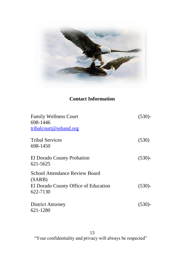

# **Contact Information**

| <b>Family Wellness Court</b><br>698-1446<br>tribalcourt@ssband.org | $(530)$ -              |
|--------------------------------------------------------------------|------------------------|
|                                                                    |                        |
|                                                                    | <b>Tribal Services</b> |
| 698-1450                                                           |                        |
| El Dorado County Probation                                         | $(530)$ -              |
| 621-5625                                                           |                        |
| <b>School Attendance Review Board</b>                              |                        |
| (SARB)                                                             |                        |
| El Dorado County Office of Education                               | $(530)$ -              |
| 622-7130                                                           |                        |
| <b>District Attorney</b>                                           | $(530)$ -              |
| 621-1280                                                           |                        |